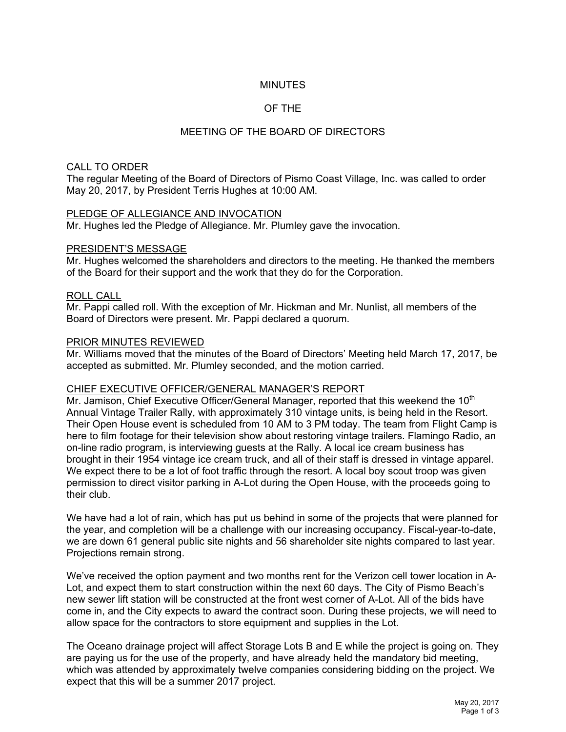# **MINUTES**

# OF THE

# MEETING OF THE BOARD OF DIRECTORS

## CALL TO ORDER

The regular Meeting of the Board of Directors of Pismo Coast Village, Inc. was called to order May 20, 2017, by President Terris Hughes at 10:00 AM.

## PLEDGE OF ALLEGIANCE AND INVOCATION

Mr. Hughes led the Pledge of Allegiance. Mr. Plumley gave the invocation.

## PRESIDENT'S MESSAGE

Mr. Hughes welcomed the shareholders and directors to the meeting. He thanked the members of the Board for their support and the work that they do for the Corporation.

## ROLL CALL

Mr. Pappi called roll. With the exception of Mr. Hickman and Mr. Nunlist, all members of the Board of Directors were present. Mr. Pappi declared a quorum.

#### PRIOR MINUTES REVIEWED

Mr. Williams moved that the minutes of the Board of Directors' Meeting held March 17, 2017, be accepted as submitted. Mr. Plumley seconded, and the motion carried.

## CHIEF EXECUTIVE OFFICER/GENERAL MANAGER'S REPORT

Mr. Jamison, Chief Executive Officer/General Manager, reported that this weekend the 10<sup>th</sup> Annual Vintage Trailer Rally, with approximately 310 vintage units, is being held in the Resort. Their Open House event is scheduled from 10 AM to 3 PM today. The team from Flight Camp is here to film footage for their television show about restoring vintage trailers. Flamingo Radio, an on-line radio program, is interviewing guests at the Rally. A local ice cream business has brought in their 1954 vintage ice cream truck, and all of their staff is dressed in vintage apparel. We expect there to be a lot of foot traffic through the resort. A local boy scout troop was given permission to direct visitor parking in A-Lot during the Open House, with the proceeds going to their club.

We have had a lot of rain, which has put us behind in some of the projects that were planned for the year, and completion will be a challenge with our increasing occupancy. Fiscal-year-to-date, we are down 61 general public site nights and 56 shareholder site nights compared to last year. Projections remain strong.

We've received the option payment and two months rent for the Verizon cell tower location in A-Lot, and expect them to start construction within the next 60 days. The City of Pismo Beach's new sewer lift station will be constructed at the front west corner of A-Lot. All of the bids have come in, and the City expects to award the contract soon. During these projects, we will need to allow space for the contractors to store equipment and supplies in the Lot.

The Oceano drainage project will affect Storage Lots B and E while the project is going on. They are paying us for the use of the property, and have already held the mandatory bid meeting, which was attended by approximately twelve companies considering bidding on the project. We expect that this will be a summer 2017 project.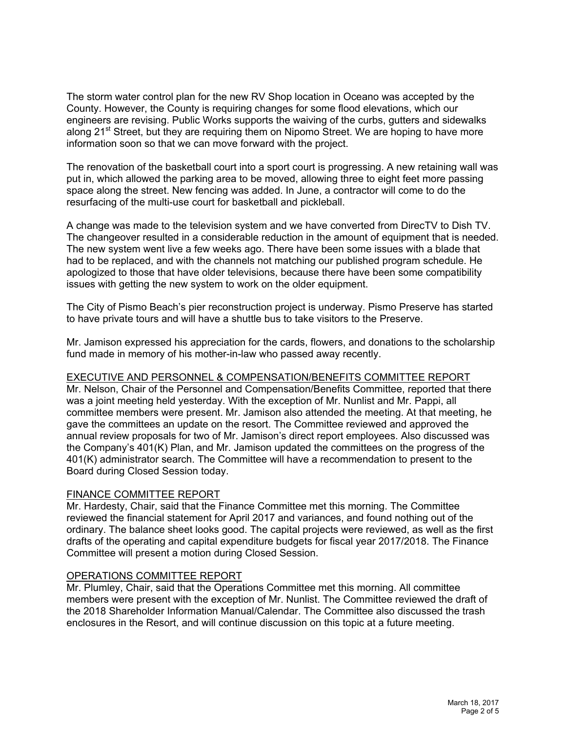The storm water control plan for the new RV Shop location in Oceano was accepted by the County. However, the County is requiring changes for some flood elevations, which our engineers are revising. Public Works supports the waiving of the curbs, gutters and sidewalks along 21<sup>st</sup> Street, but they are requiring them on Nipomo Street. We are hoping to have more information soon so that we can move forward with the project.

The renovation of the basketball court into a sport court is progressing. A new retaining wall was put in, which allowed the parking area to be moved, allowing three to eight feet more passing space along the street. New fencing was added. In June, a contractor will come to do the resurfacing of the multi-use court for basketball and pickleball.

A change was made to the television system and we have converted from DirecTV to Dish TV. The changeover resulted in a considerable reduction in the amount of equipment that is needed. The new system went live a few weeks ago. There have been some issues with a blade that had to be replaced, and with the channels not matching our published program schedule. He apologized to those that have older televisions, because there have been some compatibility issues with getting the new system to work on the older equipment.

The City of Pismo Beach's pier reconstruction project is underway. Pismo Preserve has started to have private tours and will have a shuttle bus to take visitors to the Preserve.

Mr. Jamison expressed his appreciation for the cards, flowers, and donations to the scholarship fund made in memory of his mother-in-law who passed away recently.

# EXECUTIVE AND PERSONNEL & COMPENSATION/BENEFITS COMMITTEE REPORT

Mr. Nelson, Chair of the Personnel and Compensation/Benefits Committee, reported that there was a joint meeting held yesterday. With the exception of Mr. Nunlist and Mr. Pappi, all committee members were present. Mr. Jamison also attended the meeting. At that meeting, he gave the committees an update on the resort. The Committee reviewed and approved the annual review proposals for two of Mr. Jamison's direct report employees. Also discussed was the Company's 401(K) Plan, and Mr. Jamison updated the committees on the progress of the 401(K) administrator search. The Committee will have a recommendation to present to the Board during Closed Session today.

## FINANCE COMMITTEE REPORT

Mr. Hardesty, Chair, said that the Finance Committee met this morning. The Committee reviewed the financial statement for April 2017 and variances, and found nothing out of the ordinary. The balance sheet looks good. The capital projects were reviewed, as well as the first drafts of the operating and capital expenditure budgets for fiscal year 2017/2018. The Finance Committee will present a motion during Closed Session.

## OPERATIONS COMMITTEE REPORT

Mr. Plumley, Chair, said that the Operations Committee met this morning. All committee members were present with the exception of Mr. Nunlist. The Committee reviewed the draft of the 2018 Shareholder Information Manual/Calendar. The Committee also discussed the trash enclosures in the Resort, and will continue discussion on this topic at a future meeting.